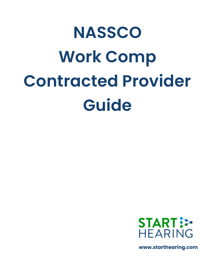# **NASSCO Work Comp Contracted Provider Guide**



**www.starthearing.com**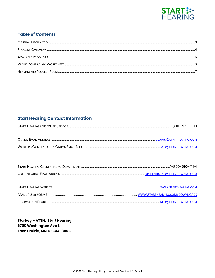

# **Table of Contents**

# **Start Hearing Contact Information**

**Starkey - ATTN: Start Hearing** 6700 Washington Ave S **Eden Prairie, MN 55344-3405**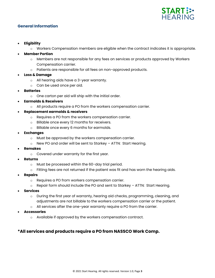

### **General Information**

- **Eligibility**
	- o Workers Compensation members are eligible when the contract indicates it is appropriate.

#### • **Member Portion**

- o Members are not responsible for any fees on services or products approved by Workers Compensation carrier.
- o Patients are responsible for all fees on non-approved products.
- **Loss & Damage**
	- o All hearing aids have a 3-year warranty.
	- o Can be used once per aid.
- **Batteries**
	- o One carton per aid will ship with the initial order.
- **Earmolds & Receivers**
	- o All products require a PO from the workers compensation carrier.

#### • **Replacement earmolds & receivers**

- o Requires a PO from the workers compensation carrier.
- o Billable once every 12 months for receivers.
- o Billable once every 6 months for earmolds.
- **Exchanges**
	- o Must be approved by the workers compensation carrier.
	- o New PO and order will be sent to Starkey ATTN: Start Hearing.
- **Remakes**
	- o Covered under warranty for the first year.
- **Returns**
	- o Must be processed within the 60-day trial period.
	- $\circ$  Fitting fees are not returned if the patient was fit and has worn the hearing aids.
- **Repairs**
	- o Requires a PO from workers compensation carrier.
	- o Repair form should include the PO and sent to Starkey ATTN: Start Hearing.
- **Services**
	- o During the first year of warranty, hearing aid checks, programming, cleaning, and adjustments are not billable to the workers compensation carrier or the patient.
	- o All services after the one-year warranty require a PO from the carrier.
- **Accessories**
	- o Available if approved by the workers compensation contract.

# **\*All services and products require a PO from NASSCO Work Comp.**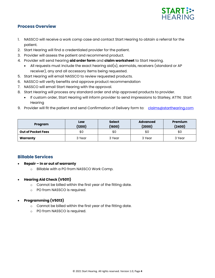

# **Process Overview**

- 1. NASSCO will receive a work comp case and contact Start Hearing to obtain a referral for the patient.
- 2. Start Hearing will find a credentialed provider for the patient.
- 3. Provider will assess the patient and recommend product.
- 4. Provider will send hearing **aid order form** and **claim worksheet** to Start Hearing.
	- All requests must include the exact hearing aid(s), earmolds, receivers (standard or AP receiver), any and all accessory items being requested.
- 5. Start Hearing will email NASSCO to review requested products.
- 6. NASSCO will verify benefits and approve product recommendation
- 7. NASSCO will email Start Hearing with the approval.
- 8. Start Hearing will process any standard order and ship approved products to provider.
	- If custom order, Start Hearing will inform provider to send impressions to Starkey, ATTN: Start **Hearing**
- 9. Provider will fit the patient and send Confirmation of Delivery form to: [claims@starthearing.com](mailto:claims@starthearing.com)

| Program                   | Low<br>(1200) | <b>Select</b><br>(1600) | <b>Advanced</b><br>(2000) | <b>Premium</b><br>(2400) |
|---------------------------|---------------|-------------------------|---------------------------|--------------------------|
| <b>Out of Pocket Fees</b> | \$0           | \$0                     | \$0                       | \$0                      |
| Warranty                  | 3 Year        | 3 Year                  | 3 Year                    | 3 Year                   |

# **Billable Services**

- **Repair – In or out of warranty**
	- o Billable with a PO from NASSCO Work Comp.

#### • **Hearing Aid Check (V5011)**

- o Cannot be billed within the first year of the fitting date.
- o PO from NASSCO is required.

## • **Programming (V5013)**

- o Cannot be billed within the first year of the fitting date.
- o PO from NASSCO is required.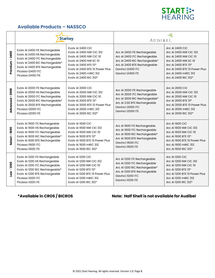

# **Available Products – NASSCO**

|                     |                                                                                                                                                                                                                  | <b>Starkey</b>                                                                                                                                                                                                             | AUDIBEL.                                                                                                                                                                |                                                                                                                                                                                                            |  |
|---------------------|------------------------------------------------------------------------------------------------------------------------------------------------------------------------------------------------------------------|----------------------------------------------------------------------------------------------------------------------------------------------------------------------------------------------------------------------------|-------------------------------------------------------------------------------------------------------------------------------------------------------------------------|------------------------------------------------------------------------------------------------------------------------------------------------------------------------------------------------------------|--|
| $-2400$<br>Premium  | Evolv AI 2400 ITE Rechargeable<br>Evolv AI 2400 HS Rechargeable<br>Evolv AI 2400 ITC Rechargeable<br>Evolv AI 2400 RIC Rechargeable*<br>Evolv AI 2400 BTE Rechargeable<br>Picasso i2400 ITC<br>Picasso i2400 ITE | Evolv AI 2400 CIC<br>Evoly AI 2400 NW CIC 312<br><b>Evolv AI 2400 NW CIC 10</b><br>Evolv AI 2400 NW IIC 10<br>Evolv AI 2400 BTE 13*<br>Evoly AI 2400 BTE 13 Power Plus<br>Evoly AI 2400 mRIC 312<br>Evolv AI 2400 RIC 312* | Arc AI 2400 ITE Rechargeable<br>Arc Al 2400 ITC Rechargeable<br>Arc Al 2400 RIC Rechargeable*<br>Arc Al 2400 BTE Rechargeable<br>Davinci i2400 ITC<br>Davinci i2400 ITE | <b>Arc AI 2400 CIC</b><br>Arc AI 2400 NW CIC 312<br>Arc AI 2400 NW CIC 10<br>Arc AI 2400 NW IIC 10<br>Arc AI 2400 BTE 13*<br>Arc AI 2400 BTE 13 Power Plus<br>Arc AI 2400 mRIC 312<br>Arc AI 2400 RIC 312* |  |
| $-2000$<br>Advanced | Evolv AI 2000 ITE Rechargeable<br>Evolv AI 2000 HS Rechargeable<br>Evolv AI 2000 ITC Rechargeable<br>Evolv AI 2000 RIC Rechargeable*<br>Evolv AI 2000 BTE Rechargeable<br>Picasso i2000 ITC<br>Picasso i2000 ITE | Evolv AI 2000 CIC<br>Evolv AI 2000 NW CIC 312<br><b>Evolv AI 2000 NW CIC 10</b><br>Evolv AI 2000 BTE 13*<br>Evoly AI 2000 BTE 13 Power Plus<br>Evolv AI 2000 mRIC 312<br>Evolv AI 2000 RIC 312*                            | Arc AI 2000 ITE Rechargeable<br>Arc Al 2000 ITC Rechargeable<br>Arc Al 2000 RIC Rechargeable*<br>Arc AI 2.00 BTE Rechargeable<br>Davinci i2000 ITC<br>Davinci i2000 ITE | <b>Arc AI 2000 CIC</b><br>Arc AI 2000 NW CIC 312<br>Arc AI 2000 NW CIC 10<br>Arc AI 2000 BTE 13*<br>Arc AI 2000 BTE 13 Power Plus<br>Arc AI 2000 mRIC 312<br>Arc AI 2000 RIC 312*                          |  |
| $-1600$<br>Select   | Evolv AI 1600 ITE Rechargeable<br>Evolv AI 1600 HS Rechargeable<br>Evolv AI 1600 ITC Rechargeable<br>Evolv AI 1600 RIC Rechargeable*<br>Evolv AI 1600 BTE Rechargeable<br>Picasso i1600 ITC<br>Picasso i1600 ITE | Evolv AI 1600 CIC<br>Evolv AI 1600 NW CIC 312<br><b>Evolv AI 1600 NW CIC 10</b><br>Evolv AI 1600 BTE 13*<br>Evoly AI 1600 BTE 13 Power Plus<br>Evolv AI 1600 mRIC 312<br>Evolv AI 1600 RIC 312*                            | Arc AI 1600 ITE Rechargeable<br>Arc AI 1600 ITC Rechargeable<br>Arc Al 1600 RIC Rechargeable*<br>Arc AI 1600 BTE Rechargeable<br>Davinci i1600 ITC<br>Davinci i1600 ITE | <b>Arc AI 1600 CIC</b><br>Arc AI 1600 NW CIC 312<br>Arc AI 1600 NW CIC 10<br>Arc AI 1600 BTE 13*<br>Arc AI 1600 BTE 13 Power Plus<br>Arc AI 1600 mRIC 312<br>Arc AI 1600 RIC 312*                          |  |
| $-1200$<br>ιον      | Evolv AI 1200 ITE Rechargeable<br>Evolv AI 1200 HS Rechargeable<br>Evolv AI 1200 ITC Rechargeable<br>Evolv AI 1200 RIC Rechargeable*<br>Evolv AI 1200 BTE Rechargeable<br>Picasso il200 ITC<br>Picasso il200 ITE | Evolv AI 1200 CIC<br>Evolv AI 1200 NW CIC 312<br><b>Evolv AI 1200 NW CIC 10</b><br>Evolv AI 1200 BTE 13*<br>Evoly AI 1200 BTE 13 Power Plus<br>Evoly AI 1200 mRIC 312<br>Evolv AI 1200 RIC 312*                            | Arc AI 1200 ITE Rechargeable<br>Arc AI 1200 ITC Rechargeable<br>Arc Al 1200 RIC Rechargeable*<br>Arc AI 1200 BTE Rechargeable<br>Davinci il200 ITC<br>Davinci il200 ITE | <b>Arc AI 1200 CIC</b><br>Arc AI 1200 NW CIC 312<br>Arc AI 1200 NW CIC 10<br>Arc AI 1200 BTE 13*<br>Arc AI 1200 BTE 13 Power Plus<br>Arc AI 1200 mRIC 312<br>Arc AI 1200 RIC 312*                          |  |

# **\*Available in CROS / BICROS Note: Half Shell is not available for Audibel**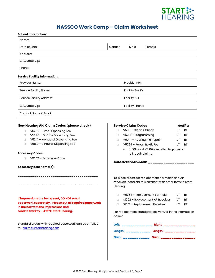

# **NASSCO Work Comp – Claim Worksheet**

| <b>NAJJUU WULK UULIP</b><br><b>Patient Information:</b>                                                                                                                                                                                                                                    |                                                                                                                                        | <b>CRIMIT MANUFALICAL</b>                                                                                                                                               |                                                                                                                                                                                                                                                                              |                      |                                                                     |
|--------------------------------------------------------------------------------------------------------------------------------------------------------------------------------------------------------------------------------------------------------------------------------------------|----------------------------------------------------------------------------------------------------------------------------------------|-------------------------------------------------------------------------------------------------------------------------------------------------------------------------|------------------------------------------------------------------------------------------------------------------------------------------------------------------------------------------------------------------------------------------------------------------------------|----------------------|---------------------------------------------------------------------|
| Name:                                                                                                                                                                                                                                                                                      |                                                                                                                                        |                                                                                                                                                                         |                                                                                                                                                                                                                                                                              |                      |                                                                     |
| Date of Birth:                                                                                                                                                                                                                                                                             | Gender:                                                                                                                                | Male                                                                                                                                                                    | Female                                                                                                                                                                                                                                                                       |                      |                                                                     |
| Address:                                                                                                                                                                                                                                                                                   |                                                                                                                                        |                                                                                                                                                                         |                                                                                                                                                                                                                                                                              |                      |                                                                     |
| City, State, Zip:                                                                                                                                                                                                                                                                          |                                                                                                                                        |                                                                                                                                                                         |                                                                                                                                                                                                                                                                              |                      |                                                                     |
| Phone:                                                                                                                                                                                                                                                                                     |                                                                                                                                        |                                                                                                                                                                         |                                                                                                                                                                                                                                                                              |                      |                                                                     |
| <b>Service Facility Information:</b>                                                                                                                                                                                                                                                       |                                                                                                                                        |                                                                                                                                                                         |                                                                                                                                                                                                                                                                              |                      |                                                                     |
| Provider Name:                                                                                                                                                                                                                                                                             |                                                                                                                                        | Provider NPI:                                                                                                                                                           |                                                                                                                                                                                                                                                                              |                      |                                                                     |
| <b>Service Facility Name:</b>                                                                                                                                                                                                                                                              |                                                                                                                                        | Facility Tax ID:                                                                                                                                                        |                                                                                                                                                                                                                                                                              |                      |                                                                     |
| <b>Service Facility Address:</b>                                                                                                                                                                                                                                                           |                                                                                                                                        | <b>Facility NPI:</b>                                                                                                                                                    |                                                                                                                                                                                                                                                                              |                      |                                                                     |
| City, State, Zip:                                                                                                                                                                                                                                                                          |                                                                                                                                        | Facility Phone:                                                                                                                                                         |                                                                                                                                                                                                                                                                              |                      |                                                                     |
| Contact Name & Email                                                                                                                                                                                                                                                                       |                                                                                                                                        |                                                                                                                                                                         |                                                                                                                                                                                                                                                                              |                      |                                                                     |
| New Hearing Aid Claim Codes (please check)<br>V5200 - Cros Dispensing Fee<br>0<br>V5240 - Bi-Cros Dispensing Fee<br>0<br>V5241 - Monaural Dispensing Fee<br>n<br>V5160 - Binaural Dispensing Fee<br>n<br><b>Accessory Codes:</b><br>V5267 - Accessory Code<br>0<br>Accessory item name(s): | П.<br>$\Box$<br>$\Box$<br>$\Box$                                                                                                       | <b>Service Claim Codes</b><br>$V5011 - Clean / Check$<br>V5013 - Programming<br>V5014 - Hearing Aid Repair<br>V5299 - Repair Re-fit Fee<br>$\circ$<br>all repair claims | V5014 and V5299 are billed together on<br>Date for Service Claim: __________________                                                                                                                                                                                         | LT<br>LT<br>LT<br>LT | <b>Modifier</b><br><b>RT</b><br><b>RT</b><br><b>RT</b><br><b>RT</b> |
| If impressions are being sent, DO NOT email<br>paperwork separately. Please put all required paperwork<br>in the box with the impressions and<br>send to Starkey - ATTN: Start Hearing.                                                                                                    | Hearing.<br>$\Box$<br>$\Box$<br>$\Box$<br>below:                                                                                       |                                                                                                                                                                         | To place orders for replacement earmolds and AP<br>receivers, send claim worksheet with order form to Start<br>V5264 - Replacement Earmold<br>S1002 - Replacement AP Receiver<br>S1001 - Replacement Receiver<br>For replacement standard receivers, fill in the information | LT.<br>LT.<br>LT.    | RT<br>RT<br>RT                                                      |
| Standard orders with required paperwork can be emailed<br>to: claims@starthearing.com                                                                                                                                                                                                      | Left: _______________ Right: ______________<br>Length: ___________ Length: ______________<br>Gain: ____________ Gain: ________________ |                                                                                                                                                                         |                                                                                                                                                                                                                                                                              |                      |                                                                     |